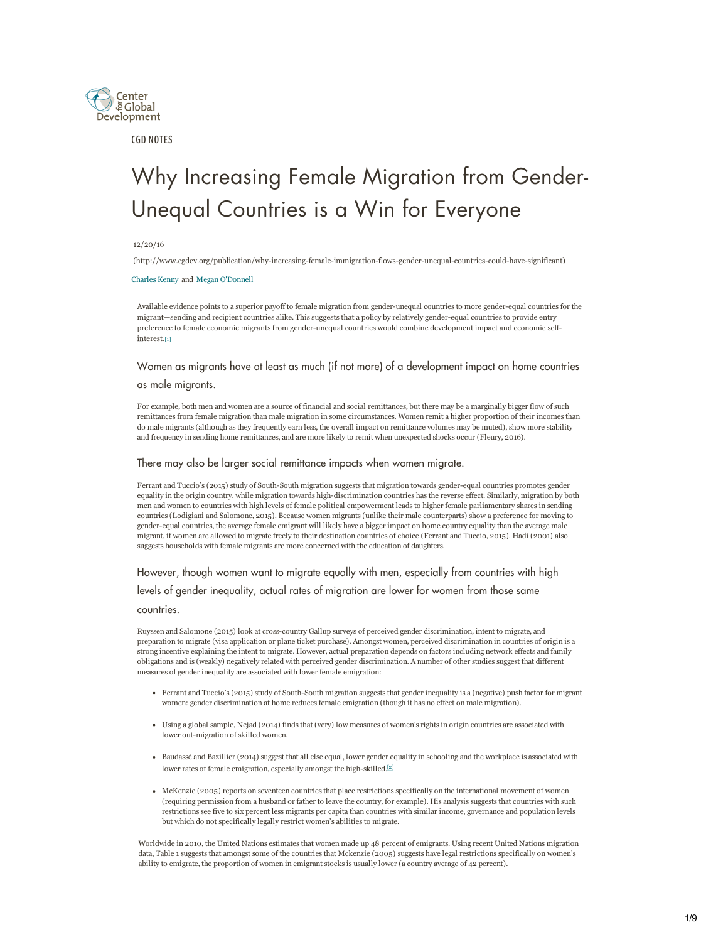

CGD NOTES

# Why Increasing Female Migration from Gender-Unequal Countries is a Win for Everyone

#### 12/20/16

(http://www.cgdev.org/publication/why-increasing-female-immigration-flows-gender-unequal-countries-could-have-significant)

#### [Charles Kenny](http://www.cgdev.org/expert/charles-kenny) and  [Megan O](http://www.cgdev.org/staff/megan-odonnell)'[Donnell](http://www.cgdev.org/staff/megan-odonnell)

Available evidence points to a superior payoff to female migration from gender-unequal countries to more gender-equal countries for the migrant—sending and recipient countries alike. This suggests that a policy by relatively genderequal countries to provide entry preference to female economic migrants from gender-unequal countries would combine development impact and economic selfinterest.<sup>[1]</sup>

## <span id="page-0-0"></span>[W](#page-0-0)omen as migrants have at least as much (if not more) of a development impact on home countries

#### as male migrants.

For example, both men and women are a source of financial and social remittances, but there may be a marginally bigger flow of such remittances from female migration than male migration in some circumstances. Women remit a higher proportion of their incomes than do male migrants (although as they frequently earn less, the overall impact on remittance volumes may be muted), show more stability and frequency in sending home remittances, and are more likely to remit when unexpected shocks occur (Fleury, 2016).

## There may also be larger social remittance impacts when women migrate.

Ferrant and Tuccio's (2015) study of South-South migration suggests that migration towards gender-equal countries promotes gender equality in the origin country, while migration towards high-discrimination countries has the reverse effect. Similarly, migration by both men and women to countries with high levels of female political empowerment leads to higher female parliamentary shares in sending countries (Lodigiani and Salomone, 2015). Because women migrants (unlike their male counterparts) show a preference for moving to gender-equal countries, the average female emigrant will likely have a bigger impact on home country equality than the average male migrant, if women are allowed to migrate freely to their destination countries of choice (Ferrant and Tuccio, 2015). Hadi (2001) also suggests households with female migrants are more concerned with the education of daughters.

## However, though women want to migrate equally with men, especially from countries with high

levels of gender inequality, actual rates of migration are lower for women from those same

countries.

Ruyssen and Salomone (2015) look at crosscountry Gallup surveys of perceived gender discrimination, intent to migrate, and preparation to migrate (visa application or plane ticket purchase). Amongst women, perceived discrimination in countries of origin is a strong incentive explaining the intent to migrate. However, actual preparation depends on factors including network effects and family obligations and is (weakly) negatively related with perceived gender discrimination. A number of other studies suggest that different measures of gender inequality are associated with lower female emigration:

- Ferrant and Tuccio's (2015) study of South-South migration suggests that gender inequality is a (negative) push factor for migrant women: gender discrimination at home reduces female emigration (though it has no effect on male migration).
- Using a global sample, Nejad (2014) finds that (very) low measures of women's rights in origin countries are associated with lower out-migration of skilled women.
- Baudassé and Bazillier (2014) suggest that all else equal, lower gender equality in schooling and the workplace is associated with lower rates of female emigration, especially amongst the high-skilled.<sup>[2]</sup>
- McKenzie (2005) reports on seventeen countries that place restrictio[ns](#page-7-0) specifically on the international movement of women (requiring permission from a husband or father to leave the country, for example). His analysis suggests that countries with such restrictions see five to six percent less migrants per capita than countries with similar income, governance and population levels but which do not specifically legally restrict women's abilities to migrate.

Worldwide in 2010, the United Nations estimates that women made up 48 percent of emigrants. Using recent United Nations migration data, Table 1 suggests that amongst some of the countries that Mckenzie (2005) suggests have legal restrictions specifically on women's ability to emigrate, the proportion of women in emigrant stocks is usually lower (a country average of 42 percent).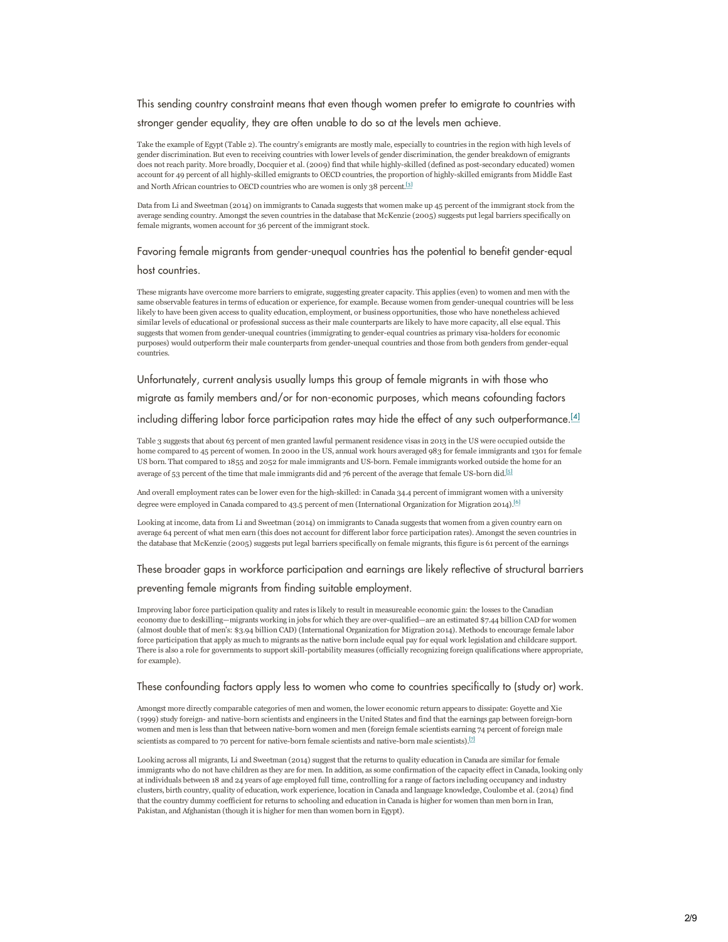This sending country constraint means that even though women prefer to emigrate to countries with

stronger gender equality, they are often unable to do so at the levels men achieve.

Take the example of Egypt (Table 2). The country's emigrants are mostly male, especially to countries in the region with high levels of gender discrimination. But even to receiving countries with lower levels of gender discrimination, the gender breakdown of emigrants does not reach parity. More broadly, Docquier et al. (2009) find that while highly-skilled (defined as post-secondary educated) women account for 49 percent of all highly-skilled emigrants to OECD countries, the proportion of highly-skilled emigrants from Middle East and North African countries to OECD countries who are women is only 38 percent.<sup>[3]</sup>

Data from Li and Sweetman (2014) on immigrants to Canada suggests that women make up 45 percent of the immigrant stock from the average sending country. Amongst the seven countries in the database that McKenz[ie \(](#page-7-1)2005) suggests put legal barriers specifically on female migrants, women account for 36 percent of the immigrant stock.

## Favoring female migrants from gender-unequal countries has the potential to benefit gender-equal

host countries.

These migrants have overcome more barriers to emigrate, suggesting greater capacity. This applies (even) to women and men with the same observable features in terms of education or experience, for example. Because women from gender-unequal countries will be less likely to have been given access to quality education, employment, or business opportunities, those who have nonetheless achieved similar levels of educational or professional success as their male counterparts are likely to have more capacity, all else equal. This suggests that women from gender-unequal countries (immigrating to gender-equal countries as primary visa-holders for economic purposes) would outperform their male counterparts from gender-unequal countries and those from both genders from gender-equal countries.

Unfortunately, current analysis usually lumps this group of female migrants in with those who

migrate as family members and/or for non-economic purposes, which means cofounding factors

including differing labor force participation rates may hide the effect of any such outperformance.<sup>[4]</sup>

Table 3 suggests that about 63 percent of men granted lawful permanent residence visas in 2013 in the US were occupied outside the home compared to 45 percent of women. In 2000 in the US, annual work hours averaged 983 for female immigrants and 1301 for fe[male](#page-7-2) US born. That compared to 1855 and 2052 for male immigrants and US-born. Female immigrants worked outside the home for an average of 53 percent of the time that male immigrants did and 76 percent of the average that female US-born did.<sup>[5]</sup>

And overall employment rates can be lower even for the high-skilled: in Canada 34.4 percent of immigrant women with a university degree were employed in Canada compared to 43.5 percent of men (International Organization for Migration 201[4\).](#page-7-3)<sup>[6]</sup>

Looking at income, data from Li and Sweetman (2014) on immigrants to Canada suggests that women from a given country earn on average 64 percent of what men earn (this does not account for different labor force participation rates). Amongst th[e se](#page-7-4)ven countries in the database that McKenzie (2005) suggests put legal barriers specifically on female migrants, this figure is 61 percent of the earnings

## These broader gaps in workforce participation and earnings are likely reflective of structural barriers preventing female migrants from finding suitable employment.

Improving labor force participation quality and rates is likely to result in measureable economic gain: the losses to the Canadian economy due to deskilling-migrants working in jobs for which they are over-qualified-are an estimated \$7.44 billion CAD for women (almost double that of men's: \$3.94 billion CAD) (International Organization for Migration 2014). Methods to encourage female labor force participation that apply as much to migrants as the native born include equal pay for equal work legislation and childcare support. There is also a role for governments to support skill-portability measures (officially recognizing foreign qualifications where appropriate, for example).

## These confounding factors apply less to women who come to countries specifically to (study or) work.

Amongst more directly comparable categories of men and women, the lower economic return appears to dissipate: Goyette and Xie (1999) study foreign- and native-born scientists and engineers in the United States and find that the earnings gap between foreign-born women and men is less than that between native-born women and men (foreign female scientists earning 74 percent of foreign male scientists as compared to 70 percent for native-born female scientists and native-born male scientists).<sup>[7]</sup>

Looking across all migrants, Li and Sweetman (2014) suggest that the returns to quality education in Canada are similar for female immigrants who do not have children as they are for men. In addition, as some confirmation of the cap[ac](#page-7-4)ity effect in Canada, looking only at individuals between 18 and 24 years of age employed full time, controlling for a range of factors including occupancy and industry clusters, birth country, quality of education, work experience, location in Canada and language knowledge, Coulombe et al. (2014) find that the country dummy coefficient for returns to schooling and education in Canada is higher for women than men born in Iran, Pakistan, and Afghanistan (though it is higher for men than women born in Egypt).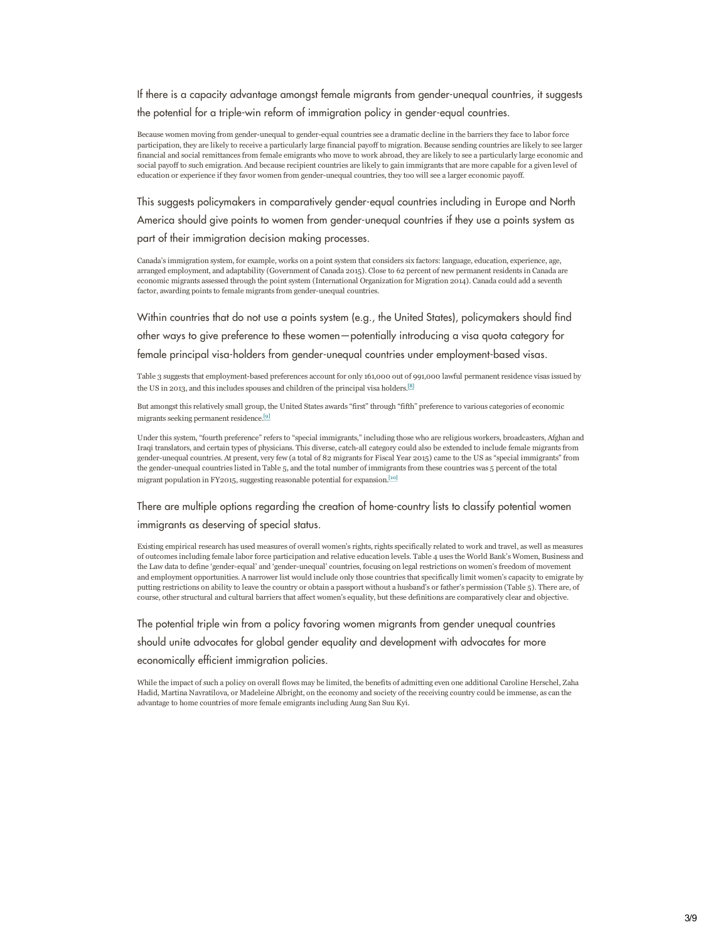If there is a capacity advantage amongst female migrants from gender-unequal countries, it suggests

the potential for a triple-win reform of immigration policy in gender-equal countries.

Because women moving from gender-unequal to gender-equal countries see a dramatic decline in the barriers they face to labor force participation, they are likely to receive a particularly large financial payoff to migration. Because sending countries are likely to see larger financial and social remittances from female emigrants who move to work abroad, they are likely to see a particularly large economic and social payoff to such emigration. And because recipient countries are likely to gain immigrants that are more capable for a given level of education or experience if they favor women from gender-unequal countries, they too will see a larger economic payoff.

This suggests policymakers in comparatively gender-equal countries including in Europe and North America should give points to women from gender-unequal countries if they use a points system as part of their immigration decision making processes.

Canada's immigration system, for example, works on a point system that considers six factors: language, education, experience, age, arranged employment, and adaptability (Government of Canada 2015). Close to 62 percent of new permanent residents in Canada are economic migrants assessed through the point system (International Organization for Migration 2014). Canada could add a seventh factor, awarding points to female migrants from gender-unequal countries.

Within countries that do not use a points system (e.g., the United States), policymakers should find other ways to give preference to these women—potentially introducing a visa quota category for female principal visa-holders from gender-unequal countries under employment-based visas.

Table 3 suggests that employment-based preferences account for only 161,000 out of 991,000 lawful permanent residence visas issued by the US in 2013, and this includes spouses and children of the principal visa holders.<sup>[\[8\]](#page-7-5)</sup>

But amongst this relatively small group, the United States awards "first" through "fifth" preference to various categories of economic migrants seeking permanent residence.[\[9\]](#page-7-6)

Under this system, "fourth preference" refers to "special immigrants," including those who are religious workers, broadcasters, Afghan and Iraqi translators, and certain types of physicians. This diverse, catchall category could also be extended to include female migrants from gender-unequal countries. At present, very few (a total of 82 migrants for Fiscal Year 2015) came to the US as "special immigrants" from the gender-unequal countries listed in Table 5, and the total number of immigrants from these countries was 5 percent of the total migrant population in FY2015, suggesting reasonable potential for expansion.<sup>[\[10\]](#page-7-7)</sup>

There are multiple options regarding the creation of home-country lists to classify potential women immigrants as deserving of special status.

Existing empirical research has used measures of overall women's rights, rights specifically related to work and travel, as well as measures of outcomes including female labor force participation and relative education levels. Table 4 uses the World Bank's Women, Business and the Law data to define 'gender-equal' and 'gender-unequal' countries, focusing on legal restrictions on women's freedom of movement and employment opportunities. A narrower list would include only those countries that specifically limit women's capacity to emigrate by putting restrictions on ability to leave the country or obtain a passport without a husband's or father's permission (Table 5). There are, of course, other structural and cultural barriers that affect women's equality, but these definitions are comparatively clear and objective.

The potential triple win from a policy favoring women migrants from gender unequal countries

should unite advocates for global gender equality and development with advocates for more

economically efficient immigration policies.

While the impact of such a policy on overall flows may be limited, the benefits of admitting even one additional Caroline Herschel, Zaha Hadid, Martina Navratilova, or Madeleine Albright, on the economy and society of the receiving country could be immense, as can the advantage to home countries of more female emigrants including Aung San Suu Kyi.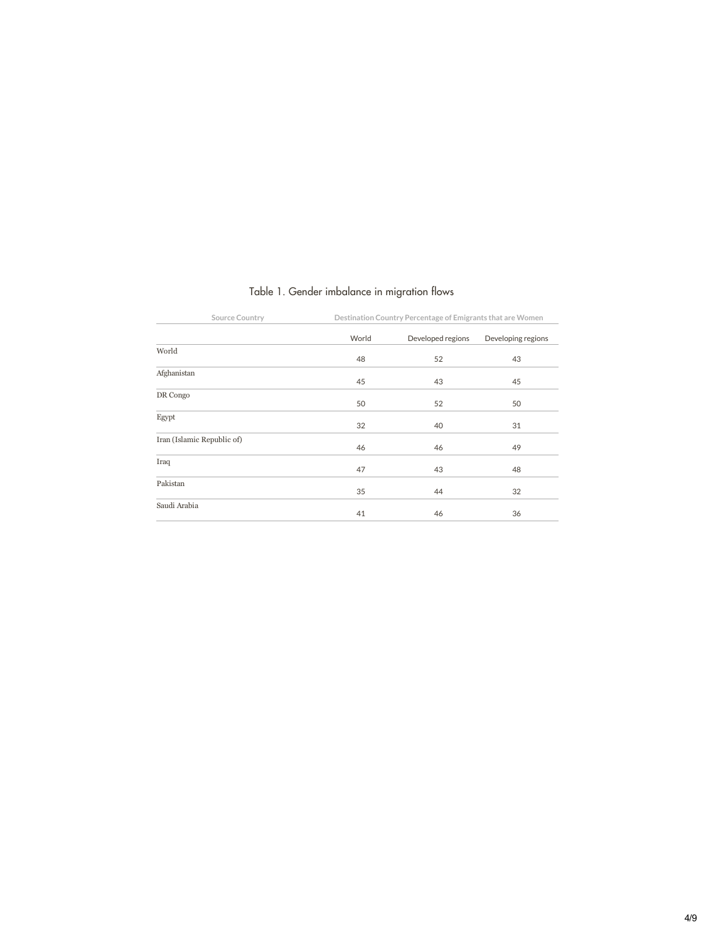| Source Country             |       | Destination Country Percentage of Emigrants that are Women |                    |  |  |
|----------------------------|-------|------------------------------------------------------------|--------------------|--|--|
|                            | World | Developed regions                                          | Developing regions |  |  |
| World                      | 48    | 52                                                         | 43                 |  |  |
| Afghanistan                | 45    | 43                                                         | 45                 |  |  |
| DR Congo                   | 50    | 52                                                         | 50                 |  |  |
| Egypt                      | 32    | 40                                                         | 31                 |  |  |
| Iran (Islamic Republic of) | 46    | 46                                                         | 49                 |  |  |
| Iraq                       | 47    | 43                                                         | 48                 |  |  |
| Pakistan                   | 35    | 44                                                         | 32                 |  |  |
| Saudi Arabia               | 41    | 46                                                         | 36                 |  |  |

# Table 1. Gender imbalance in migration flows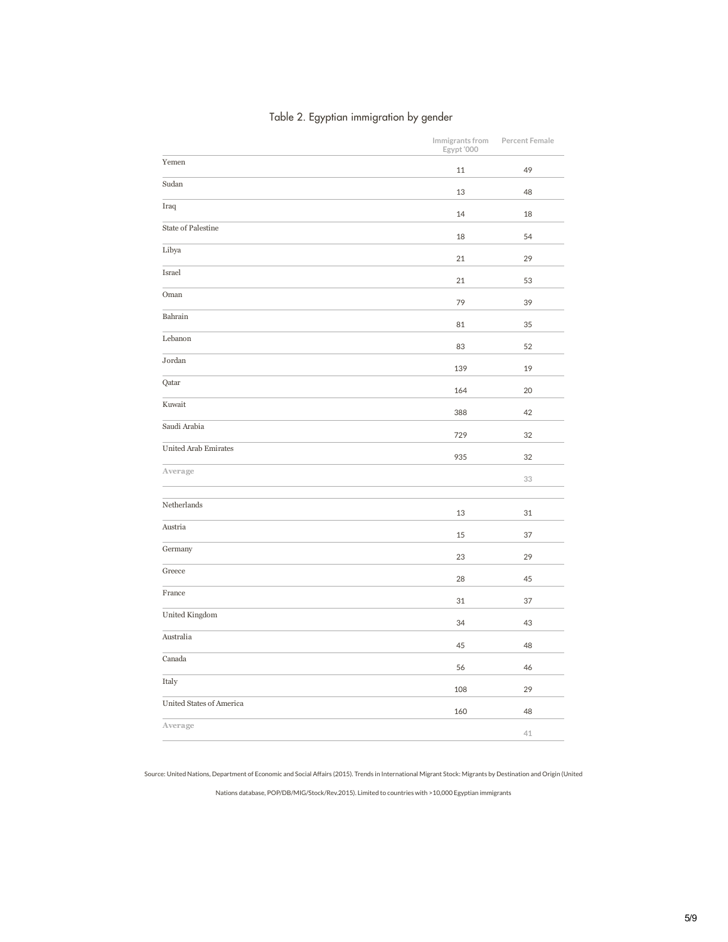| Table 2. Egyptian immigration by gender |  |  |  |
|-----------------------------------------|--|--|--|
|-----------------------------------------|--|--|--|

|                             | Immigrants from<br>Egypt '000 | Percent Female |
|-----------------------------|-------------------------------|----------------|
| Yemen                       | 11                            | 49             |
| Sudan                       | 13                            | 48             |
| Iraq                        | 14                            | 18             |
| <b>State of Palestine</b>   | 18                            | 54             |
| Libya                       | 21                            | 29             |
| Israel                      | 21                            | 53             |
| Oman                        | 79                            | 39             |
| Bahrain                     | 81                            | 35             |
| Lebanon                     | 83                            | 52             |
| Jordan                      | 139                           | 19             |
| Qatar                       | 164                           | 20             |
| Kuwait                      | 388                           | 42             |
| Saudi Arabia                |                               |                |
| <b>United Arab Emirates</b> | 729                           | 32             |
| Average                     | 935                           | 32             |
|                             |                               | 33             |
| Netherlands                 | 13                            | 31             |
| Austria                     | 15                            | 37             |
| Germany                     | 23                            | 29             |
| Greece                      | 28                            | 45             |
| France                      | 31                            | 37             |
| United Kingdom              | 34                            | 43             |
| Australia                   | 45                            | 48             |
| Canada                      | 56                            | 46             |
| Italy                       | 108                           | 29             |
| United States of America    | 160                           | 48             |
| Average                     |                               |                |
|                             |                               | 41             |

Source: United Nations, Department of Economic and Social Affairs (2015). Trends in International Migrant Stock: Migrants by Destination and Origin (United

Nations database, POP/DB/MIG/Stock/Rev.2015). Limited to countries with >10,000 Egyptian immigrants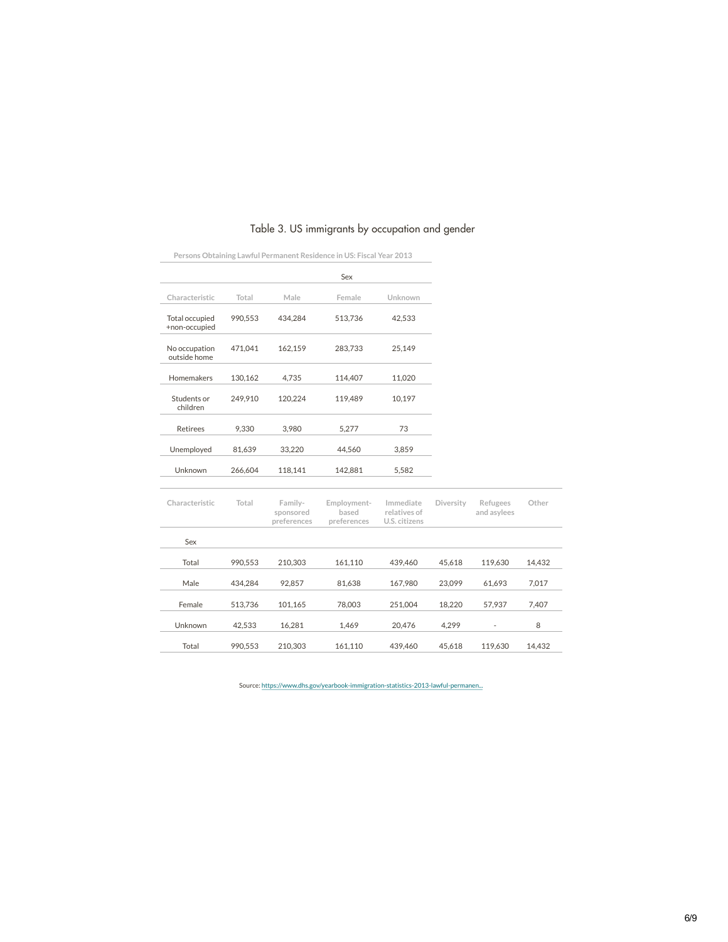|                                 |         |                                     | Sex                                 |                                            |           |                         |        |
|---------------------------------|---------|-------------------------------------|-------------------------------------|--------------------------------------------|-----------|-------------------------|--------|
|                                 |         |                                     |                                     |                                            |           |                         |        |
| Characteristic                  | Total   | Male                                | Female                              | Unknown                                    |           |                         |        |
| Total occupied<br>+non-occupied | 990,553 | 434,284                             | 513,736                             | 42,533                                     |           |                         |        |
| No occupation<br>outside home   | 471,041 | 162,159                             | 283,733                             | 25,149                                     |           |                         |        |
| Homemakers                      | 130,162 | 4,735                               | 114,407                             | 11,020                                     |           |                         |        |
| Students or<br>children         | 249.910 | 120,224                             | 119,489                             | 10,197                                     |           |                         |        |
| <b>Retirees</b>                 | 9,330   | 3,980                               | 5,277                               | 73                                         |           |                         |        |
| Unemployed                      | 81,639  | 33,220                              | 44.560                              | 3,859                                      |           |                         |        |
| Unknown                         | 266,604 | 118,141                             | 142,881                             | 5,582                                      |           |                         |        |
| Characteristic                  | Total   | Family-<br>sponsored<br>preferences | Employment-<br>based<br>preferences | Immediate<br>relatives of<br>U.S. citizens | Diversity | Refugees<br>and asylees | Other  |
| Sex                             |         |                                     |                                     |                                            |           |                         |        |
| Total                           | 990,553 | 210,303                             | 161,110                             | 439,460                                    | 45,618    | 119,630                 | 14,432 |
| Male                            | 434,284 | 92,857                              | 81,638                              | 167,980                                    | 23,099    | 61,693                  | 7,017  |

## Table 3. US immigrants by occupation and gender

Persons Obtaining Lawful Permanent Residence in US: Fiscal Year 2013

Source: https://www.dhs.gov/yearbook-immigration-statistics-2013-lawful-permanen...

Female 513,736 101,165 78,003 251,004 18,220 57,937 7,407 Unknown 42,533 16,281 1,469 20,476 4,299 - <sup>8</sup> Total 990,553 210,303 161,110 439,460 45,618 119,630 14,432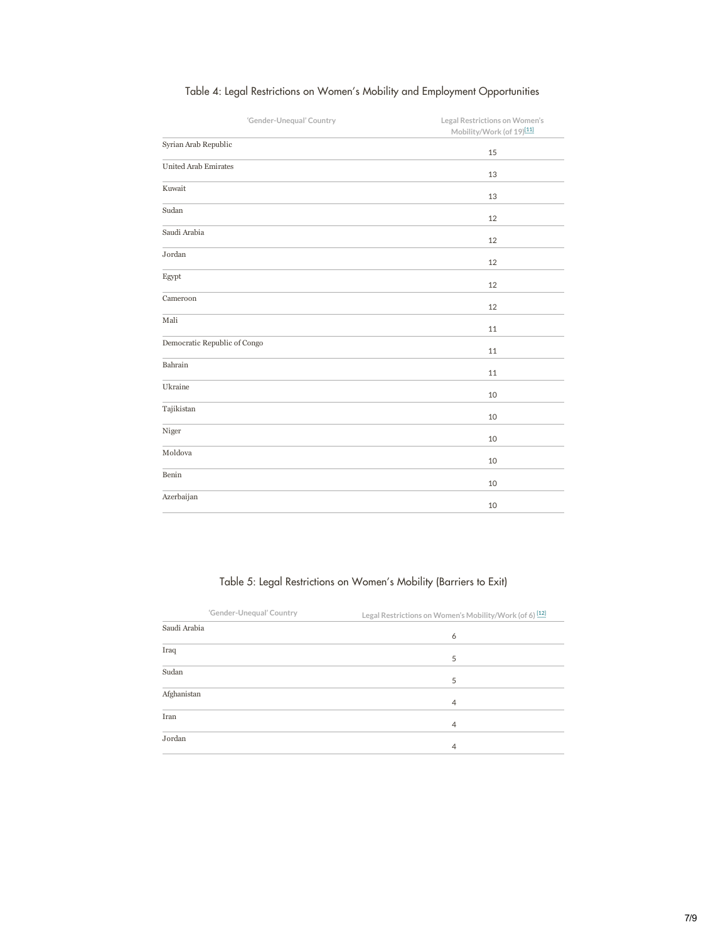| 'Gender-Unequal' Country     | Legal Restrictions on Women's<br>Mobility/Work (of 19)[11] |
|------------------------------|------------------------------------------------------------|
| Syrian Arab Republic         | 15                                                         |
| <b>United Arab Emirates</b>  | 13                                                         |
| Kuwait                       | 13                                                         |
| Sudan                        | 12                                                         |
| Saudi Arabia                 | 12                                                         |
| Jordan                       | 12                                                         |
| Egypt                        | 12                                                         |
| Cameroon                     | 12                                                         |
| Mali                         | 11                                                         |
| Democratic Republic of Congo | 11                                                         |
| Bahrain                      | 11                                                         |
| Ukraine                      | 10                                                         |
| Tajikistan                   | 10                                                         |
| Niger                        | 10                                                         |
| Moldova                      | 10                                                         |
| Benin                        | 10                                                         |
| Azerbaijan                   | 10                                                         |
|                              |                                                            |

# Table 4: Legal Restrictions on Women's Mobility and Employment Opportunities

# Table 5: Legal Restrictions on Women's Mobility (Barriers to Exit)

|              | 'Gender-Unequal' Country | Legal Restrictions on Women's Mobility/Work (of 6) [12] |
|--------------|--------------------------|---------------------------------------------------------|
| Saudi Arabia |                          | 6                                                       |
| Iraq         |                          |                                                         |
|              |                          | 5                                                       |
| Sudan        |                          | 5                                                       |
| Afghanistan  |                          | $\overline{4}$                                          |
| Iran         |                          | $\overline{4}$                                          |
| Jordan       |                          | $\overline{4}$                                          |
|              |                          |                                                         |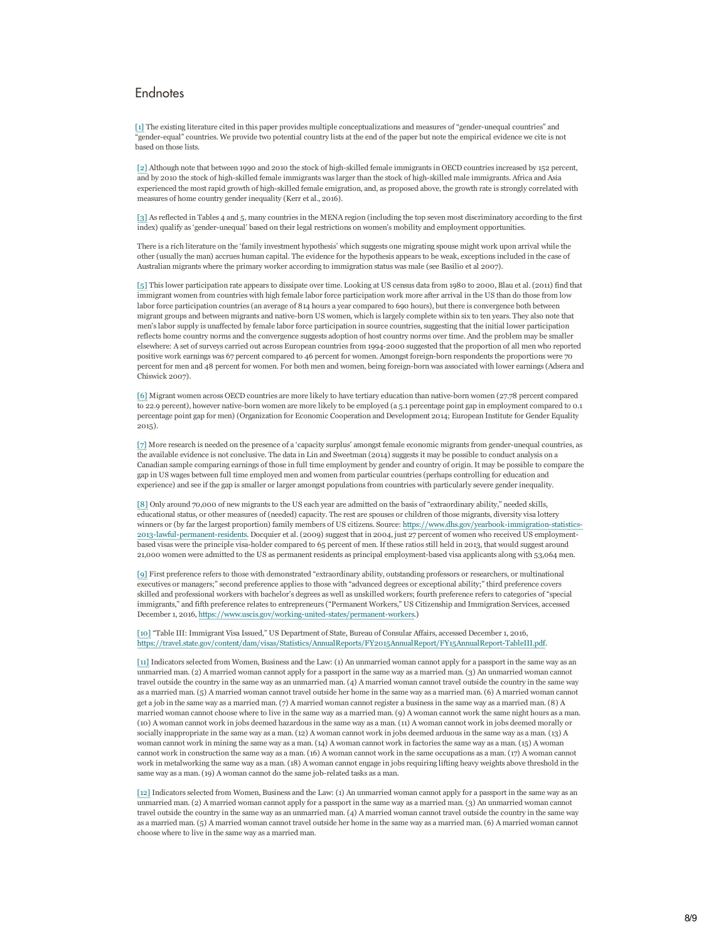## <span id="page-7-0"></span>**Endnotes**

<span id="page-7-1"></span>[1] The existing literature cited in this paper provides multiple conceptualizations and measures of "gender-unequal countries" and gender-equal" countries. We provide two potential country lists at the end of the paper but note the empirical evidence we cite is not based on those lists.

<span id="page-7-2"></span>[2] Although note that between 1990 and 2010 the stock of high-skilled female immigrants in OECD countries increased by 152 percent, and by 2010 the stock of high-skilled female immigrants was larger than the stock of high-skilled male immigrants. Africa and Asia experienced the most rapid growth of high-skilled female emigration, and, as proposed above, the growth rate is strongly correlated with measures of home country gender inequality (Kerr et al., 2016).

<span id="page-7-3"></span>[3] As reflected in Tables 4 and 5, many countries in the MENA region (including the top seven most discriminatory according to the first index) qualify as 'gender-unequal' based on their legal restrictions on women's mobility and employment opportunities.

There is a rich literature on the 'family investment hypothesis' which suggests one migrating spouse might work upon arrival while the other (usually the man) accrues human capital. The evidence for the hypothesis appears to be weak, exceptions included in the case of Australian migrants where the primary worker according to immigration status was male (see Basilio et al 2007).

<span id="page-7-4"></span>[5] This lower participation rate appears to dissipate over time. Looking at US census data from 1980 to 2000, Blau et al. (2011) find that immigrant women from countries with high female labor force participation work more after arrival in the US than do those from low labor force participation countries (an average of 814 hours a year compared to 690 hours), but there is convergence both between migrant groups and between migrants and nativeborn US women, which is largely complete within six to ten years. They also note that men's labor supply is unaffected by female labor force participation in source countries, suggesting that the initial lower participation reflects home country norms and the convergence suggests adoption of host country norms over time. And the problem may be smaller elsewhere: A set of surveys carried out across European countries from 19942000 suggested that the proportion of all men who reported positive work earnings was 67 percent compared to 46 percent for women. Amongst foreign-born respondents the proportions were 70 percent for men and 48 percent for women. For both men and women, being foreign-born was associated with lower earnings (Adsera and Chiswick 2007).

[6] Migrant women across OECD countries are more likely to have tertiary education than nativeborn women (27.78 percent compared to 22.9 percent), however nativeborn women are more likely to be employed (a 5.1 percentage point gap in employment compared to 0.1 percentage point gap for men) (Organization for Economic Cooperation and Development 2014; European Institute for Gender Equality 2015).

<span id="page-7-5"></span>[7] More research is needed on the presence of a 'capacity surplus' amongst female economic migrants from genderunequal countries, as [the available evidence is not conclusive. The data in Lin and Sweetman \(2014\) suggests it may be possible to conduct analysis on a](https://www.dhs.gov/yearbook-immigration-statistics-2013-lawful-permanent-residents) Canadian sample comparing earnings of those in full time employment by gender and country of origin. It may be possible to compare the gap in US wages between full time employed men and women from particular countries (perhaps controlling for education and experience) and see if the gap is smaller or larger amongst populations from countries with particularly severe gender inequality.

<span id="page-7-6"></span>[8] Only around 70,000 of new migrants to the US each year are admitted on the basis of "extraordinary ability," needed skills, educational status, or other measures of (needed) capacity. The rest are spouses or children of those migrants, diversity visa lottery winners or (by far the largest proportion) family members of US citizens. Source: https://www.dhs.gov/yearbook-immigration-statistics-2013-lawful-permanent-residents. Docquier et al. (2009) suggest that in 2004, just 27 percent of women who received US employmentbased visas were the principle visaholder compared to 65 percent of men. If these ratios still held in 2013, that would suggest around 21,000 women were admitted to the US as permanent residents as principal employmentbased visa applicants along with 53,064 men.

<span id="page-7-8"></span><span id="page-7-7"></span>[9] First preference refers to those with demonstrated "extraordinary ability, outstanding professors or researchers, or multinational executives or managers;" second preference applies to those with "advanced degrees or exceptional ability;" third preference covers skilled and professional workers with bachelor's degrees as well as unskilled workers; fourth preference refers to categories of "special immigrants," and fifth preference relates to entrepreneurs ("Permanent Workers," US Citizenship and Immigration Services, accessed December 1, 2016, https://www.uscis.gov/working-united-states/permanent-workers.)

[10] "Table III: Immigrant Visa Issued," US Department of State, Bureau of Consular Affairs, accessed December 1, 2016, https://travel.state.gov/content/dam/visas/Statistics/AnnualReports/FY2015AnnualReport/FY15AnnualReport-TableIII.pdf.

[11] Indicators selected from Women, Business and the Law: (1) An unmarried woman cannot apply for a passport in the same way as an unmarried man. (2) A married woman cannot apply for a passport in the same way as a married man. (3) An unmarried woman cannot travel outside the country in the same way as an unmarried man. (4) A married woman cannot travel outside the country in the same way as a married man. (5) A married woman cannot travel outside her home in the same way as a married man. (6) A married woman cannot get a job in the same way as a married man. (7) A married woman cannot register a business in the same way as a married man. (8) A married woman cannot choose where to live in the same way as a married man. (9) A woman cannot work the same night hours as a man. (10) A woman cannot work in jobs deemed hazardous in the same way as a man. (11) A woman cannot work in jobs deemed morally or socially inappropriate in the same way as a man. (12) A woman cannot work in jobs deemed arduous in the same way as a man. (13) A woman cannot work in mining the same way as a man. (14) A woman cannot work in factories the same way as a man. (15) A woman cannot work in construction the same way as a man. (16) A woman cannot work in the same occupations as a man. (17) A woman cannot work in metalworking the same way as a man. (18) A woman cannot engage in jobs requiring lifting heavy weights above threshold in the same way as a man. (19) A woman cannot do the same job-related tasks as a man.

[12] Indicators selected from Women, Business and the Law: (1) An unmarried woman cannot apply for a passport in the same way as an unmarried man. (2) A married woman cannot apply for a passport in the same way as a married man. (3) An unmarried woman cannot travel outside the country in the same way as an unmarried man. (4) A married woman cannot travel outside the country in the same way as a married man. (5) A married woman cannot travel outside her home in the same way as a married man. (6) A married woman cannot choose where to live in the same way as a married man.